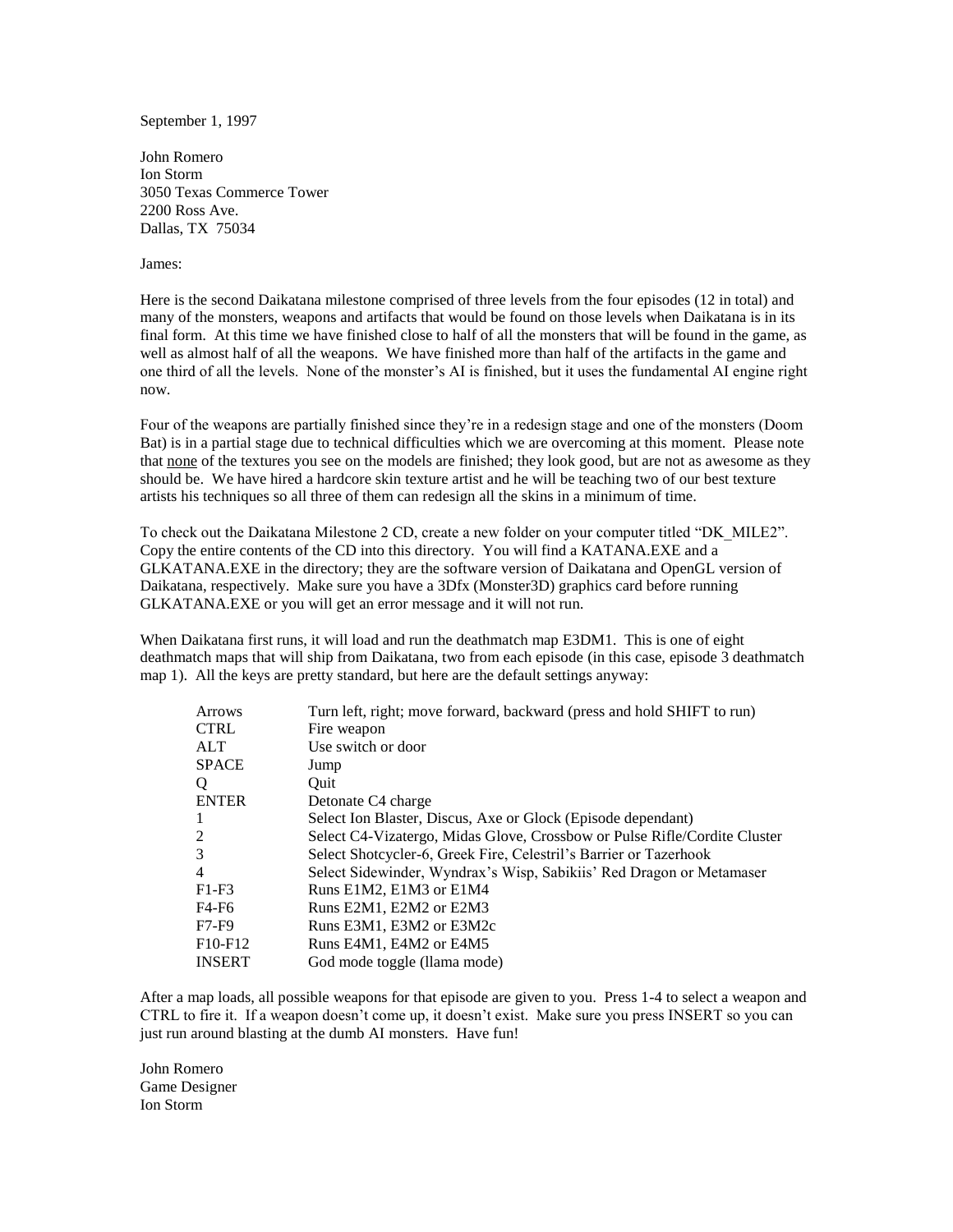September 1, 1997

John Romero Ion Storm 3050 Texas Commerce Tower 2200 Ross Ave. Dallas, TX 75034

## James:

Here is the second Daikatana milestone comprised of three levels from the four episodes (12 in total) and many of the monsters, weapons and artifacts that would be found on those levels when Daikatana is in its final form. At this time we have finished close to half of all the monsters that will be found in the game, as well as almost half of all the weapons. We have finished more than half of the artifacts in the game and one third of all the levels. None of the monster's AI is finished, but it uses the fundamental AI engine right now.

Four of the weapons are partially finished since they're in a redesign stage and one of the monsters (Doom Bat) is in a partial stage due to technical difficulties which we are overcoming at this moment. Please note that none of the textures you see on the models are finished; they look good, but are not as awesome as they should be. We have hired a hardcore skin texture artist and he will be teaching two of our best texture artists his techniques so all three of them can redesign all the skins in a minimum of time.

To check out the Daikatana Milestone 2 CD, create a new folder on your computer titled "DK\_MILE2". Copy the entire contents of the CD into this directory. You will find a KATANA.EXE and a GLKATANA.EXE in the directory; they are the software version of Daikatana and OpenGL version of Daikatana, respectively. Make sure you have a 3Dfx (Monster3D) graphics card before running GLKATANA.EXE or you will get an error message and it will not run.

When Daikatana first runs, it will load and run the deathmatch map E3DM1. This is one of eight deathmatch maps that will ship from Daikatana, two from each episode (in this case, episode 3 deathmatch map 1). All the keys are pretty standard, but here are the default settings anyway:

| <b>Arrows</b>                    | Turn left, right; move forward, backward (press and hold SHIFT to run)    |
|----------------------------------|---------------------------------------------------------------------------|
| <b>CTRL</b>                      | Fire weapon                                                               |
| ALT                              | Use switch or door                                                        |
| <b>SPACE</b>                     | Jump                                                                      |
| Q                                | Ouit                                                                      |
| <b>ENTER</b>                     | Detonate C4 charge                                                        |
|                                  | Select Ion Blaster, Discus, Axe or Glock (Episode dependant)              |
| 2                                | Select C4-Vizatergo, Midas Glove, Crossbow or Pulse Rifle/Cordite Cluster |
| 3                                | Select Shotcycler-6, Greek Fire, Celestril's Barrier or Tazerhook         |
| 4                                | Select Sidewinder, Wyndrax's Wisp, Sabikiis' Red Dragon or Metamaser      |
| $F1-F3$                          | Runs E1M2, E1M3 or E1M4                                                   |
| F4-F6                            | Runs E2M1, E2M2 or E2M3                                                   |
| $F7-F9$                          | Runs E3M1, E3M2 or E3M2c                                                  |
| F <sub>10</sub> -F <sub>12</sub> | Runs E4M1, E4M2 or E4M5                                                   |
| <b>INSERT</b>                    | God mode toggle (llama mode)                                              |

After a map loads, all possible weapons for that episode are given to you. Press 1-4 to select a weapon and CTRL to fire it. If a weapon doesn't come up, it doesn't exist. Make sure you press INSERT so you can just run around blasting at the dumb AI monsters. Have fun!

John Romero Game Designer Ion Storm